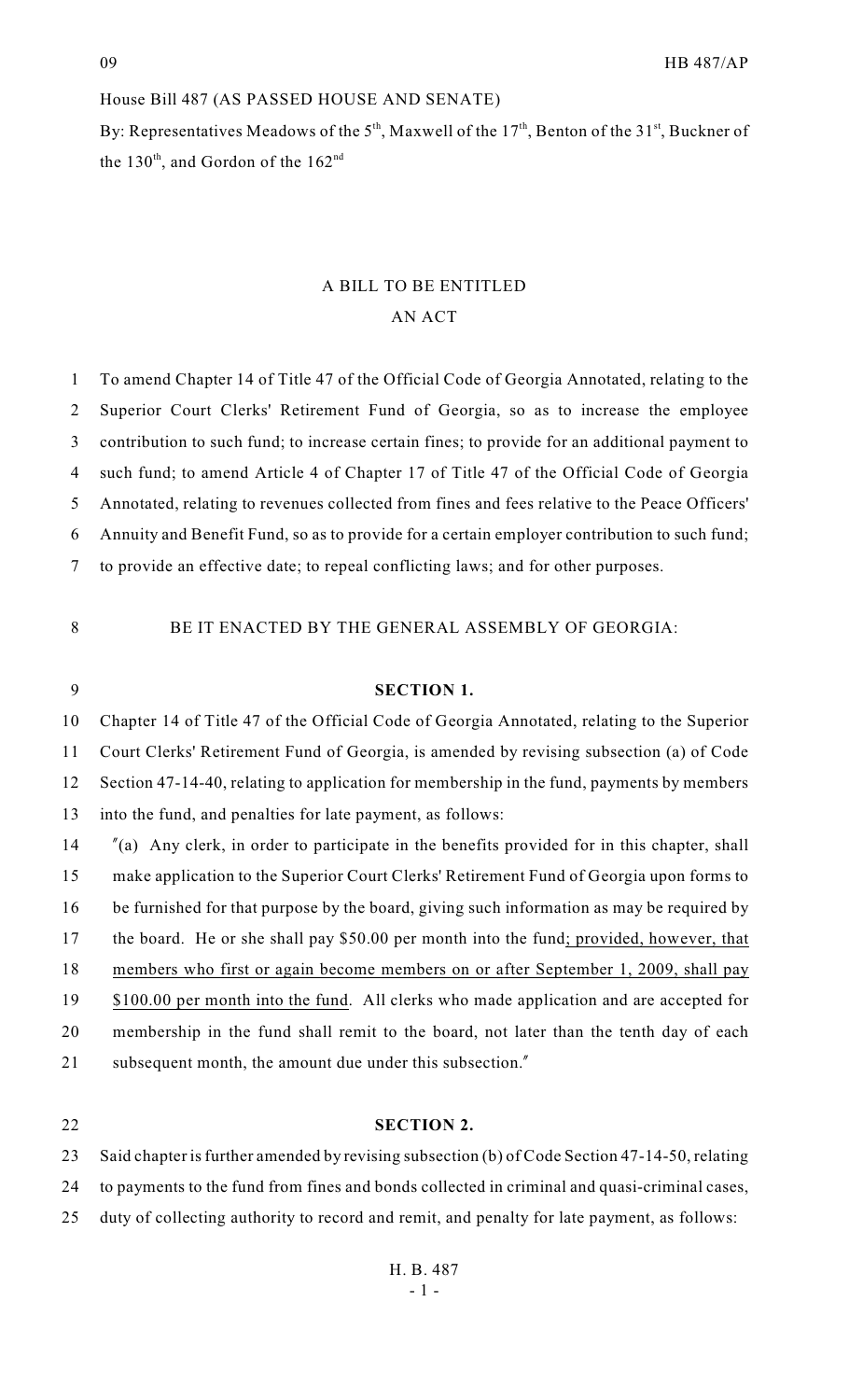## House Bill 487 (AS PASSED HOUSE AND SENATE)

By: Representatives Meadows of the  $5<sup>th</sup>$ , Maxwell of the  $17<sup>th</sup>$ , Benton of the  $31<sup>st</sup>$ , Buckner of the  $130<sup>th</sup>$ , and Gordon of the  $162<sup>nd</sup>$ 

# A BILL TO BE ENTITLED AN ACT

 To amend Chapter 14 of Title 47 of the Official Code of Georgia Annotated, relating to the Superior Court Clerks' Retirement Fund of Georgia, so as to increase the employee contribution to such fund; to increase certain fines; to provide for an additional payment to such fund; to amend Article 4 of Chapter 17 of Title 47 of the Official Code of Georgia Annotated, relating to revenues collected from fines and fees relative to the Peace Officers' Annuity and Benefit Fund, so as to provide for a certain employer contribution to such fund; to provide an effective date; to repeal conflicting laws; and for other purposes.

BE IT ENACTED BY THE GENERAL ASSEMBLY OF GEORGIA:

## **SECTION 1.**

 Chapter 14 of Title 47 of the Official Code of Georgia Annotated, relating to the Superior Court Clerks' Retirement Fund of Georgia, is amended by revising subsection (a) of Code Section 47-14-40, relating to application for membership in the fund, payments by members into the fund, and penalties for late payment, as follows:

 "(a) Any clerk, in order to participate in the benefits provided for in this chapter, shall make application to the Superior Court Clerks' Retirement Fund of Georgia upon forms to be furnished for that purpose by the board, giving such information as may be required by the board. He or she shall pay \$50.00 per month into the fund; provided, however, that members who first or again become members on or after September 1, 2009, shall pay 19 \$100.00 per month into the fund. All clerks who made application and are accepted for membership in the fund shall remit to the board, not later than the tenth day of each 21 subsequent month, the amount due under this subsection."

### **SECTION 2.**

Said chapter is further amended by revising subsection (b) of Code Section 47-14-50, relating

to payments to the fund from fines and bonds collected in criminal and quasi-criminal cases,

duty of collecting authority to record and remit, and penalty for late payment, as follows: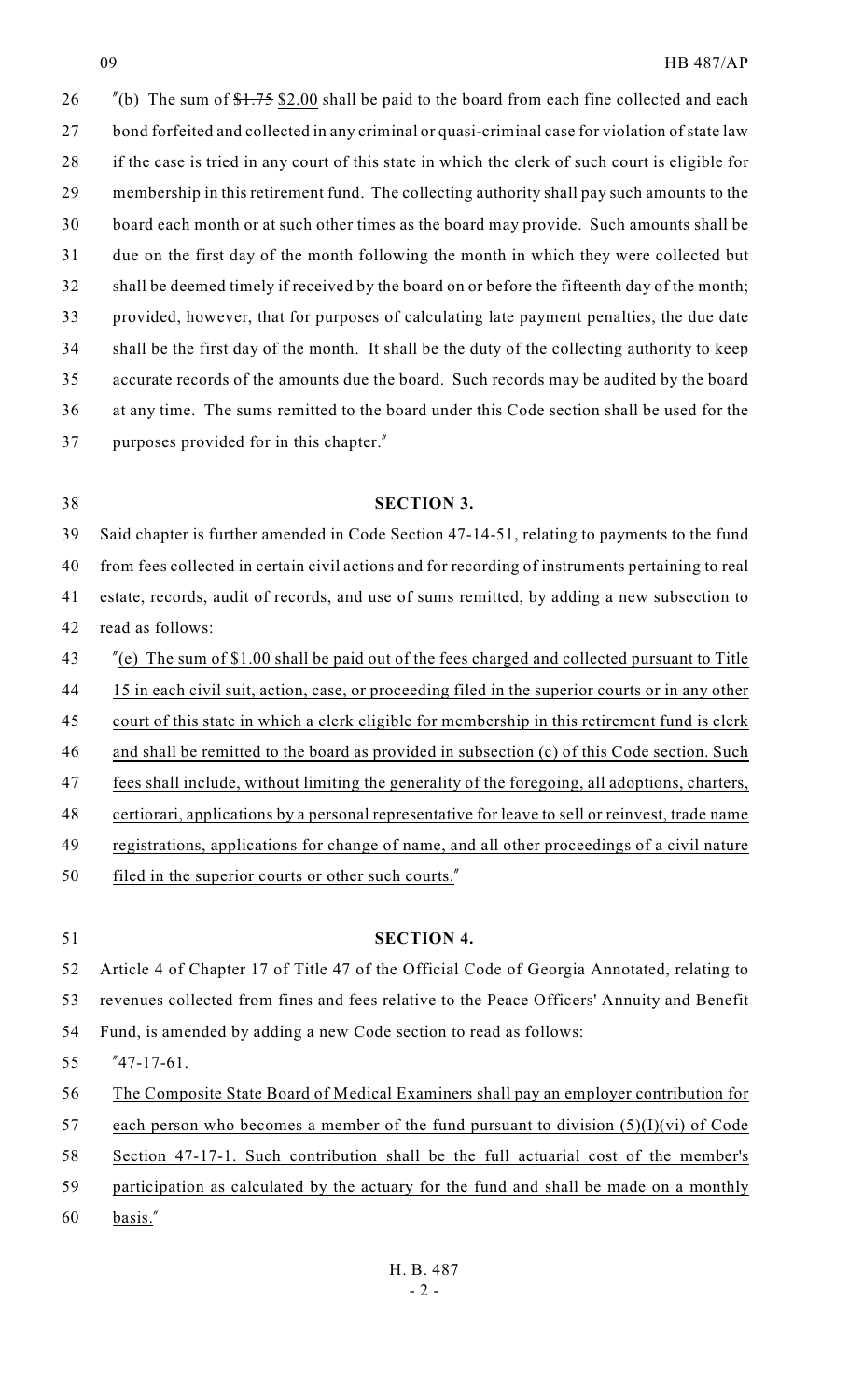$\frac{\pi}{6}$  The sum of  $\frac{1.75}{32.00}$  shall be paid to the board from each fine collected and each 27 bond forfeited and collected in any criminal or quasi-criminal case for violation of state law if the case is tried in any court of this state in which the clerk of such court is eligible for membership in this retirement fund. The collecting authority shall pay such amounts to the board each month or at such other times as the board may provide. Such amounts shall be due on the first day of the month following the month in which they were collected but shall be deemed timely if received by the board on or before the fifteenth day of the month; provided, however, that for purposes of calculating late payment penalties, the due date shall be the first day of the month. It shall be the duty of the collecting authority to keep accurate records of the amounts due the board. Such records may be audited by the board at any time. The sums remitted to the board under this Code section shall be used for the purposes provided for in this chapter."

## **SECTION 3.**

 Said chapter is further amended in Code Section 47-14-51, relating to payments to the fund from fees collected in certain civil actions and for recording of instruments pertaining to real estate, records, audit of records, and use of sums remitted, by adding a new subsection to read as follows:

- "(e) The sum of \$1.00 shall be paid out of the fees charged and collected pursuant to Title
- 15 in each civil suit, action, case, or proceeding filed in the superior courts or in any other
- 45 court of this state in which a clerk eligible for membership in this retirement fund is clerk
- 46 and shall be remitted to the board as provided in subsection (c) of this Code section. Such
- fees shall include, without limiting the generality of the foregoing, all adoptions, charters,
- certiorari, applications by a personal representative for leave to sell or reinvest, trade name
- 49 registrations, applications for change of name, and all other proceedings of a civil nature
- filed in the superior courts or other such courts."

 **SECTION 4.** Article 4 of Chapter 17 of Title 47 of the Official Code of Georgia Annotated, relating to revenues collected from fines and fees relative to the Peace Officers' Annuity and Benefit Fund, is amended by adding a new Code section to read as follows:

- "47-17-61.
- The Composite State Board of Medical Examiners shall pay an employer contribution for
- 57 each person who becomes a member of the fund pursuant to division  $(5)(I)(vi)$  of Code
- Section 47-17-1. Such contribution shall be the full actuarial cost of the member's
- participation as calculated by the actuary for the fund and shall be made on a monthly
- basis."